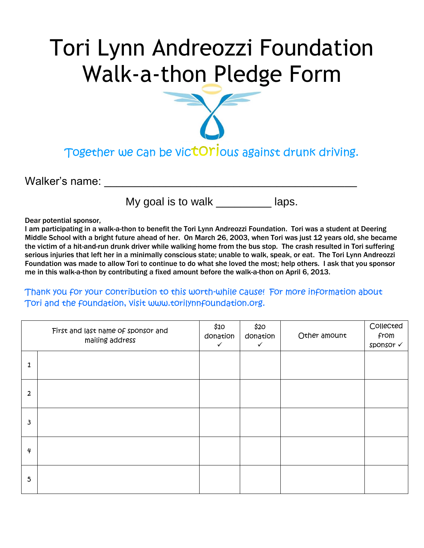## Tori Lynn Andreozzi Foundation Walk-a-thon Pledge Form

Together we can be victOrious against drunk driving.

Walker's name:

My goal is to walk \_\_\_\_\_\_\_\_\_\_ laps.

Dear potential sponsor,

I am participating in a walk-a-thon to benefit the Tori Lynn Andreozzi Foundation. Tori was a student at Deering Middle School with a bright future ahead of her. On March 26, 2003, when Tori was just 12 years old, she became the victim of a hit-and-run drunk driver while walking home from the bus stop. The crash resulted in Tori suffering serious injuries that left her in a minimally conscious state; unable to walk, speak, or eat. The Tori Lynn Andreozzi Foundation was made to allow Tori to continue to do what she loved the most; help others. I ask that you sponsor me in this walk-a-thon by contributing a fixed amount before the walk-a-thon on April 6, 2013.

Thank you for your contribution to this worth-while cause! For more information about Tori and the foundation, visit www.torilynnfoundation.org.

|                  | First and last name of sponsor and<br>mailing address | \$10<br>donation<br>$\checkmark$ | \$20<br>donation<br>$\checkmark$ | Other amount | Collected<br>from<br>sponsor √ |
|------------------|-------------------------------------------------------|----------------------------------|----------------------------------|--------------|--------------------------------|
| 1                |                                                       |                                  |                                  |              |                                |
| 2                |                                                       |                                  |                                  |              |                                |
| 3                |                                                       |                                  |                                  |              |                                |
| $\boldsymbol{q}$ |                                                       |                                  |                                  |              |                                |
| 5                |                                                       |                                  |                                  |              |                                |